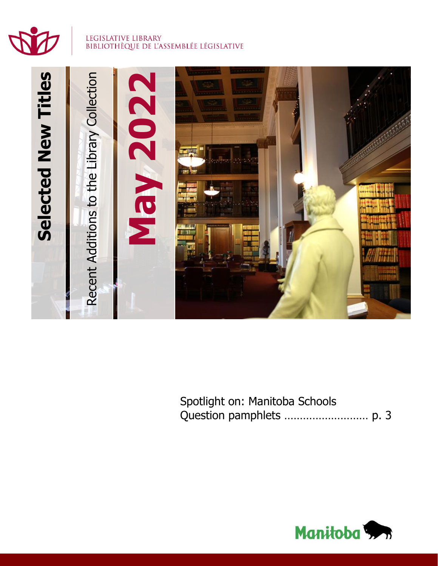

#### LEGISLATIVE LIBRARY BIBLIOTHÈQUE DE L'ASSEMBLÉE LÉGISLATIVE



Spotlight on: Manitoba Schools Question pamphlets ……………………… p. 3

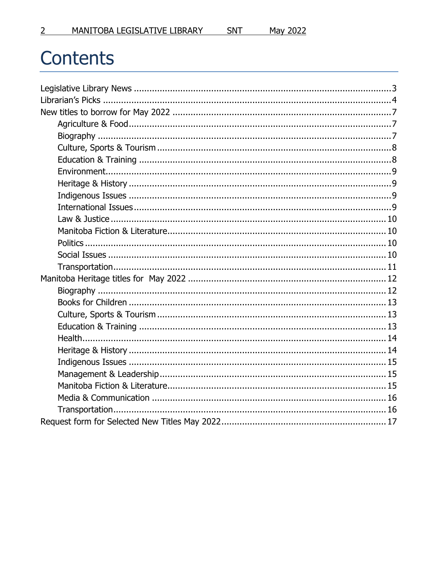# Contents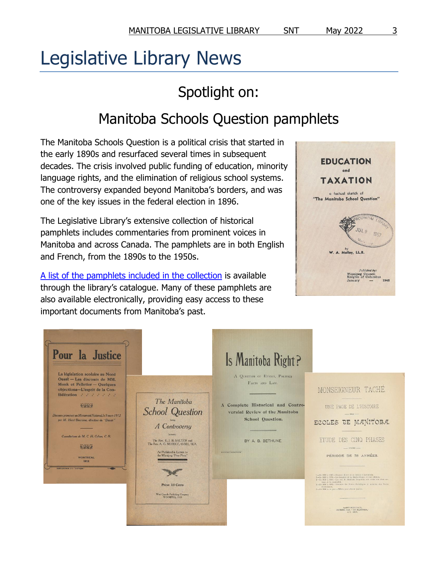# <span id="page-2-0"></span>Legislative Library News

# Spotlight on:

# Manitoba Schools Question pamphlets

The Manitoba Schools Question is a political crisis that started in the early 1890s and resurfaced several times in subsequent decades. The crisis involved public funding of education, minority language rights, and the elimination of religious school systems. The controversy expanded beyond Manitoba's borders, and was one of the key issues in the federal election in 1896.

The Legislative Library's extensive collection of historical pamphlets includes commentaries from prominent voices in Manitoba and across Canada. The pamphlets are in both English and French, from the 1890s to the 1950s.

[A list of the pamphlets included in the collection](https://legislativelibrary.mb.catalogue.libraries.coop/eg/opac/results?blimit=10;qtype=title;bterm=Manitoba%20School%20Question%20pamphlets;locg=1101;fi%3Ahas_browse_entry=14609183%2C5) is available through the library's catalogue. Many of these pamphlets are also available electronically, providing easy access to these important documents from Manitoba's past.



| Pour la Justice<br>La législation scolaire au Nord                                                                                                                                                                                                                                                                                                        |                                                                                                                                                                                                                                                                                      | Is Manitoba Right?                                                                                                                                                                                         |                                                                                                                                                                                                                                                                                                                                                                                                                                                                                                                                                                                                                                           |
|-----------------------------------------------------------------------------------------------------------------------------------------------------------------------------------------------------------------------------------------------------------------------------------------------------------------------------------------------------------|--------------------------------------------------------------------------------------------------------------------------------------------------------------------------------------------------------------------------------------------------------------------------------------|------------------------------------------------------------------------------------------------------------------------------------------------------------------------------------------------------------|-------------------------------------------------------------------------------------------------------------------------------------------------------------------------------------------------------------------------------------------------------------------------------------------------------------------------------------------------------------------------------------------------------------------------------------------------------------------------------------------------------------------------------------------------------------------------------------------------------------------------------------------|
| Ouest - Les discours de MM.<br>Monk et Pelletier - Quelques<br>objections-L'esprit de la Con-<br>fédération : : : : : : :<br><b>PARK</b><br>Discours prononcé au Monument National, le 9 mars 1912<br>par M. Henri Bourassa, directeur da "Devoir"<br>Consultations de M. C. H. Cahan, C. R.<br>光光光线<br><b>MONTREAL</b><br>1912<br>IMPRIMERIE DU "DEVOIR" | The Manitoba<br><b>School Question</b><br>being.<br>A Controversy<br>between<br>The Rev. E. J. B. SALTER and<br>The Rev. A. G. MORICE, O.M.L. M.A.<br>As Published in Letters to<br>the Winnipeg "Free Press"<br>Price: 10 Cents<br>West Canada Publishing Company<br>WINNIPEG, 1913 | A QUESTION OF ETHICS, POLITICS<br>FACTS AND LAW.<br>A Complete Historical and Contro-<br>versial Review of the Manitoba<br>School Question.<br>BY A. B. BETHUNE.<br>Mintreal Board, Photograph Winnerston, | MONSEIGNEUR TACHE<br><b>IINE PAGE DE L'HISTOIRE</b><br>$-$ DES $-$<br>ECOLES DE MANITOBA.<br>CINQ PHASES<br>ETUDE<br>DES.<br>$-$ D'UNE $-$<br>PERIODE DE 78 ANNÉES.<br>1-De 1818 à 1868-Begines divers de la Gilonie d'Assimbola.<br>2-De 1868 à 1870 - Les troubles de la Rivière-Rouge et leur solution.<br>2-Ds 1870 à 1888-les bés de Manitola frequentes aux scoles des deux sec-<br>tions de la population.<br>1-De 1888 à 1889 - Atondon des Ecoles Catholiquer et montien des Ecoles<br>Protestimtes.<br>3.-De 1890 à ce jour.-Effecte pour obtenir justice.<br><b>SAINT-BONIFACE</b><br>IMPRIME PAR "LE MANITOBA,"<br>A.D. 1898. |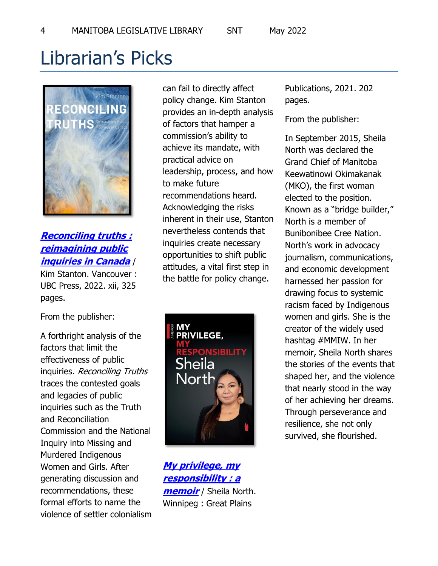# <span id="page-3-0"></span>Librarian's Picks



# **[Reconciling truths :](https://legislativelibrary.mb.catalogue.libraries.coop/eg/opac/record/127969690?locg=1101)  [reimagining public](https://legislativelibrary.mb.catalogue.libraries.coop/eg/opac/record/127969690?locg=1101)  [inquiries in Canada](https://legislativelibrary.mb.catalogue.libraries.coop/eg/opac/record/127969690?locg=1101)** /

Kim Stanton. Vancouver : UBC Press, 2022. xii, 325 pages.

From the publisher:

A forthright analysis of the factors that limit the effectiveness of public inquiries. Reconciling Truths traces the contested goals and legacies of public inquiries such as the Truth and Reconciliation Commission and the National Inquiry into Missing and Murdered Indigenous Women and Girls. After generating discussion and recommendations, these formal efforts to name the violence of settler colonialism can fail to directly affect policy change. Kim Stanton provides an in-depth analysis of factors that hamper a commission's ability to achieve its mandate, with practical advice on leadership, process, and how to make future recommendations heard. Acknowledging the risks inherent in their use, Stanton nevertheless contends that inquiries create necessary opportunities to shift public attitudes, a vital first step in the battle for policy change.



**[My privilege, my](https://legislativelibrary.mb.catalogue.libraries.coop/eg/opac/record/127626669?locg=1101)  [responsibility : a](https://legislativelibrary.mb.catalogue.libraries.coop/eg/opac/record/127626669?locg=1101)  [memoir](https://legislativelibrary.mb.catalogue.libraries.coop/eg/opac/record/127626669?locg=1101)** / Sheila North. Winnipeg : Great Plains

Publications, 2021. 202 pages.

From the publisher:

In September 2015, Sheila North was declared the Grand Chief of Manitoba Keewatinowi Okimakanak (MKO), the first woman elected to the position. Known as a "bridge builder," North is a member of Bunibonibee Cree Nation. North's work in advocacy journalism, communications, and economic development harnessed her passion for drawing focus to systemic racism faced by Indigenous women and girls. She is the creator of the widely used hashtag #MMIW. In her memoir, Sheila North shares the stories of the events that shaped her, and the violence that nearly stood in the way of her achieving her dreams. Through perseverance and resilience, she not only survived, she flourished.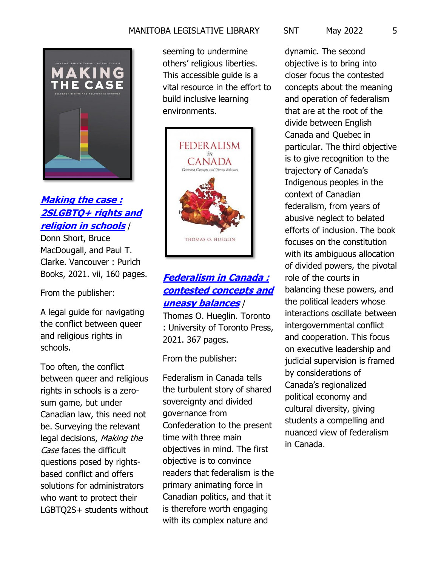

# **[Making the case :](https://legislativelibrary.mb.catalogue.libraries.coop/eg/opac/record/127505576?locg=1101)  [2SLGBTQ+ rights and](https://legislativelibrary.mb.catalogue.libraries.coop/eg/opac/record/127505576?locg=1101)  [religion in schools](https://legislativelibrary.mb.catalogue.libraries.coop/eg/opac/record/127505576?locg=1101)** /

Donn Short, Bruce MacDougall, and Paul T. Clarke. Vancouver : Purich Books, 2021. vii, 160 pages.

From the publisher:

A legal guide for navigating the conflict between queer and religious rights in schools.

Too often, the conflict between queer and religious rights in schools is a zerosum game, but under Canadian law, this need not be. Surveying the relevant legal decisions, Making the Case faces the difficult questions posed by rightsbased conflict and offers solutions for administrators who want to protect their LGBTQ2S+ students without seeming to undermine others' religious liberties. This accessible guide is a vital resource in the effort to build inclusive learning environments.



# **[Federalism in Canada :](https://legislativelibrary.mb.catalogue.libraries.coop/eg/opac/record/128023929?locg=1101)  [contested concepts and](https://legislativelibrary.mb.catalogue.libraries.coop/eg/opac/record/128023929?locg=1101)  [uneasy balances](https://legislativelibrary.mb.catalogue.libraries.coop/eg/opac/record/128023929?locg=1101)** /

Thomas O. Hueglin. Toronto : University of Toronto Press, 2021. 367 pages.

From the publisher:

Federalism in Canada tells the turbulent story of shared sovereignty and divided governance from Confederation to the present time with three main objectives in mind. The first objective is to convince readers that federalism is the primary animating force in Canadian politics, and that it is therefore worth engaging with its complex nature and

dynamic. The second objective is to bring into closer focus the contested concepts about the meaning and operation of federalism that are at the root of the divide between English Canada and Quebec in particular. The third objective is to give recognition to the trajectory of Canada's Indigenous peoples in the context of Canadian federalism, from years of abusive neglect to belated efforts of inclusion. The book focuses on the constitution with its ambiguous allocation of divided powers, the pivotal role of the courts in balancing these powers, and the political leaders whose interactions oscillate between intergovernmental conflict and cooperation. This focus on executive leadership and judicial supervision is framed by considerations of Canada's regionalized political economy and cultural diversity, giving students a compelling and nuanced view of federalism in Canada.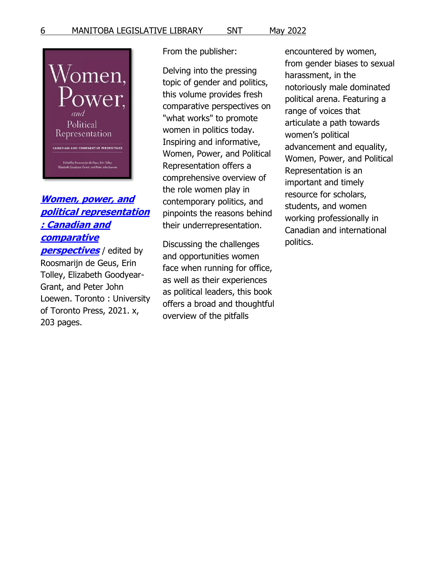

# **[Women, power, and](https://legislativelibrary.mb.catalogue.libraries.coop/eg/opac/record/127911198?locg=1101)  [political representation](https://legislativelibrary.mb.catalogue.libraries.coop/eg/opac/record/127911198?locg=1101)  [: Canadian and](https://legislativelibrary.mb.catalogue.libraries.coop/eg/opac/record/127911198?locg=1101)  [comparative](https://legislativelibrary.mb.catalogue.libraries.coop/eg/opac/record/127911198?locg=1101)**

**[perspectives](https://legislativelibrary.mb.catalogue.libraries.coop/eg/opac/record/127911198?locg=1101)** / edited by Roosmarijn de Geus, Erin Tolley, Elizabeth Goodyear-Grant, and Peter John Loewen. Toronto : University of Toronto Press, 2021. x, 203 pages.

From the publisher:

Delving into the pressing topic of gender and politics, this volume provides fresh comparative perspectives on "what works" to promote women in politics today. Inspiring and informative, Women, Power, and Political Representation offers a comprehensive overview of the role women play in contemporary politics, and pinpoints the reasons behind their underrepresentation.

Discussing the challenges and opportunities women face when running for office, as well as their experiences as political leaders, this book offers a broad and thoughtful overview of the pitfalls

encountered by women, from gender biases to sexual harassment, in the notoriously male dominated political arena. Featuring a range of voices that articulate a path towards women's political advancement and equality, Women, Power, and Political Representation is an important and timely resource for scholars, students, and women working professionally in Canadian and international politics.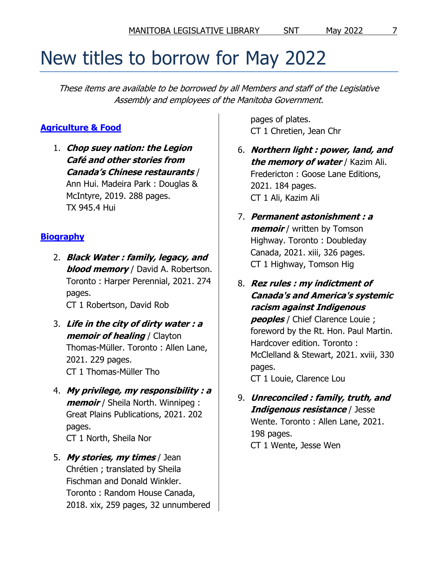# <span id="page-6-0"></span>New titles to borrow for May 2022

These items are available to be borrowed by all Members and staff of the Legislative Assembly and employees of the Manitoba Government.

### <span id="page-6-1"></span>**[Agriculture & Food](https://legislativelibrary.mb.catalogue.libraries.coop/eg/opac/results?_special=1&tag=871&subfield=a&term=SNT+Agriculture+Food&locg=1101)**

1. **Chop suey nation: the Legion Café and other stories from Canada's Chinese restaurants** / Ann Hui. Madeira Park : Douglas & McIntyre, 2019. 288 pages. TX 945.4 Hui

### <span id="page-6-2"></span>**[Biography](https://legislativelibrary.mb.catalogue.libraries.coop/eg/opac/results?_special=1&tag=871&subfield=a&term=SNT+biography&locg=1101)**

2. **Black Water : family, legacy, and blood memory** / David A. Robertson. Toronto : Harper Perennial, 2021. 274 pages. CT 1 Robertson, David Rob

3. **Life in the city of dirty water : a memoir of healing** / Clayton Thomas-Müller. Toronto : Allen Lane, 2021. 229 pages.

CT 1 Thomas-Müller Tho

- 4. **My privilege, my responsibility : a memoir** / Sheila North. Winnipeg : Great Plains Publications, 2021. 202 pages. CT 1 North, Sheila Nor
- 5. **My stories, my times** / Jean Chrétien ; translated by Sheila Fischman and Donald Winkler. Toronto : Random House Canada, 2018. xix, 259 pages, 32 unnumbered

pages of plates. CT 1 Chretien, Jean Chr

- 6. **Northern light : power, land, and the memory of water** / Kazim Ali. Fredericton : Goose Lane Editions, 2021. 184 pages. CT 1 Ali, Kazim Ali
- 7. **Permanent astonishment : a memoir** / written by Tomson Highway. Toronto : Doubleday Canada, 2021. xiii, 326 pages. CT 1 Highway, Tomson Hig
- 8. **Rez rules : my indictment of Canada's and America's systemic racism against Indigenous peoples** / Chief Clarence Louie ; foreword by the Rt. Hon. Paul Martin. Hardcover edition. Toronto : McClelland & Stewart, 2021. xviii, 330 pages. CT 1 Louie, Clarence Lou
- 9. **Unreconciled : family, truth, and Indigenous resistance** / Jesse Wente. Toronto : Allen Lane, 2021. 198 pages. CT 1 Wente, Jesse Wen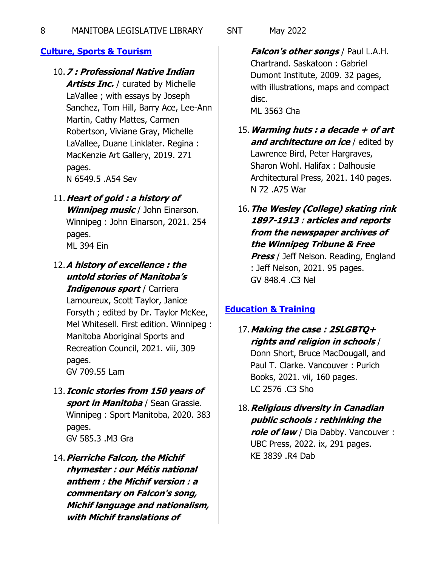### <span id="page-7-0"></span>**[Culture, Sports & Tourism](https://legislativelibrary.mb.catalogue.libraries.coop/eg/opac/results?_special=1&tag=871&subfield=a&term=SNT+culture+sports+tourism&locg=1101)**

### 10.**7 : Professional Native Indian**

**Artists Inc.** / curated by Michelle LaVallee ; with essays by Joseph Sanchez, Tom Hill, Barry Ace, Lee-Ann Martin, Cathy Mattes, Carmen Robertson, Viviane Gray, Michelle LaVallee, Duane Linklater. Regina : MacKenzie Art Gallery, 2019. 271 pages. N 6549.5 .A54 Sev

- 11.**Heart of gold : a history of Winnipeg music** / John Einarson. Winnipeg : John Einarson, 2021. 254 pages. ML 394 Ein
- 12.**A history of excellence : the untold stories of Manitoba's Indigenous sport** / Carriera Lamoureux, Scott Taylor, Janice Forsyth ; edited by Dr. Taylor McKee, Mel Whitesell. First edition. Winnipeg : Manitoba Aboriginal Sports and Recreation Council, 2021. viii, 309 pages. GV 709.55 Lam
- 13.**Iconic stories from 150 years of sport in Manitoba** / Sean Grassie. Winnipeg : Sport Manitoba, 2020. 383 pages. GV 585.3 .M3 Gra
- 14.**Pierriche Falcon, the Michif rhymester : our Métis national anthem : the Michif version : a commentary on Falcon's song, Michif language and nationalism, with Michif translations of**

**Falcon's other songs** / Paul L.A.H. Chartrand. Saskatoon : Gabriel Dumont Institute, 2009. 32 pages, with illustrations, maps and compact disc. ML 3563 Cha

- 15.**Warming huts : a decade + of art and architecture on ice** / edited by Lawrence Bird, Peter Hargraves, Sharon Wohl. Halifax : Dalhousie Architectural Press, 2021. 140 pages. N 72 .A75 War
- 16.**The Wesley (College) skating rink 1897-1913 : articles and reports from the newspaper archives of the Winnipeg Tribune & Free Press** / Jeff Nelson. Reading, England : Jeff Nelson, 2021. 95 pages. GV 848.4 .C3 Nel

### <span id="page-7-1"></span>**[Education & Training](https://legislativelibrary.mb.catalogue.libraries.coop/eg/opac/results?_special=1&tag=871&subfield=a&term=SNT+education+training&locg=1101)**

- 17.**Making the case : 2SLGBTQ+ rights and religion in schools** / Donn Short, Bruce MacDougall, and Paul T. Clarke. Vancouver : Purich Books, 2021. vii, 160 pages. LC 2576 .C3 Sho
- 18.**Religious diversity in Canadian public schools : rethinking the role of law** / Dia Dabby. Vancouver : UBC Press, 2022. ix, 291 pages. KE 3839 .R4 Dab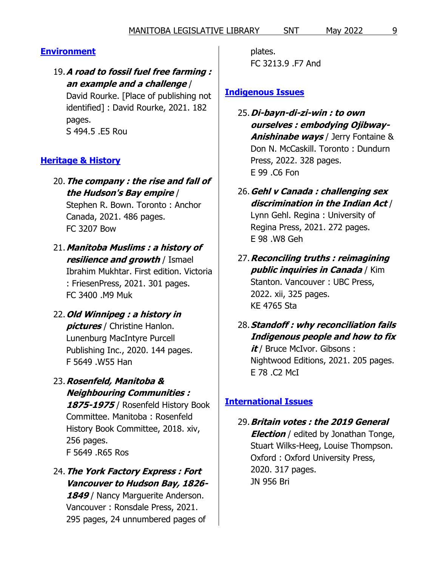# <span id="page-8-0"></span>**[Environment](https://legislativelibrary.mb.catalogue.libraries.coop/eg/opac/results?_special=1&tag=871&subfield=a&term=SNT+environment&locg=1101)**

19.**A road to fossil fuel free farming : an example and a challenge** /

David Rourke. [Place of publishing not identified] : David Rourke, 2021. 182 pages. S 494.5 .E5 Rou

# <span id="page-8-1"></span>**[Heritage & History](https://legislativelibrary.mb.catalogue.libraries.coop/eg/opac/results?_special=1&tag=871&subfield=a&term=SNT+heritage+history&locg=1101)**

20.**The company : the rise and fall of the Hudson's Bay empire** /

Stephen R. Bown. Toronto : Anchor Canada, 2021. 486 pages. FC 3207 Bow

21.**Manitoba Muslims : a history of resilience and growth** / Ismael

Ibrahim Mukhtar. First edition. Victoria : FriesenPress, 2021. 301 pages. FC 3400 .M9 Muk

- 22.**Old Winnipeg : a history in pictures** / Christine Hanlon. Lunenburg MacIntyre Purcell Publishing Inc., 2020. 144 pages. F 5649 .W55 Han
- 23.**Rosenfeld, Manitoba & Neighbouring Communities : 1875-1975** / Rosenfeld History Book Committee. Manitoba : Rosenfeld History Book Committee, 2018. xiv, 256 pages. F 5649 .R65 Ros
- 24.**The York Factory Express : Fort Vancouver to Hudson Bay, 1826-** 1849 / Nancy Marquerite Anderson. Vancouver : Ronsdale Press, 2021. 295 pages, 24 unnumbered pages of

plates. FC 3213.9 .F7 And

### <span id="page-8-2"></span>**[Indigenous Issues](https://legislativelibrary.mb.catalogue.libraries.coop/eg/opac/results?_special=1&tag=871&subfield=a&term=SNT+indigenous+issues&locg=1101)**

- 25.**Di-bayn-di-zi-win : to own ourselves : embodying Ojibway-Anishinabe ways** / Jerry Fontaine & Don N. McCaskill. Toronto : Dundurn Press, 2022. 328 pages. E 99 .C6 Fon
- 26.**Gehl v Canada : challenging sex discrimination in the Indian Act** / Lynn Gehl. Regina : University of Regina Press, 2021. 272 pages. E 98 .W8 Geh
- 27.**Reconciling truths : reimagining public inquiries in Canada** / Kim Stanton. Vancouver : UBC Press, 2022. xii, 325 pages. KE 4765 Sta
- 28.**Standoff : why reconciliation fails Indigenous people and how to fix it** / Bruce McIvor. Gibsons : Nightwood Editions, 2021. 205 pages. E 78 .C2 McI

### <span id="page-8-3"></span>**[International Issues](https://legislativelibrary.mb.catalogue.libraries.coop/eg/opac/results?_special=1&tag=871&subfield=a&term=SNT+international+issues&locg=1101)**

29.**Britain votes : the 2019 General Election** / edited by Jonathan Tonge, Stuart Wilks-Heeg, Louise Thompson. Oxford : Oxford University Press, 2020. 317 pages. JN 956 Bri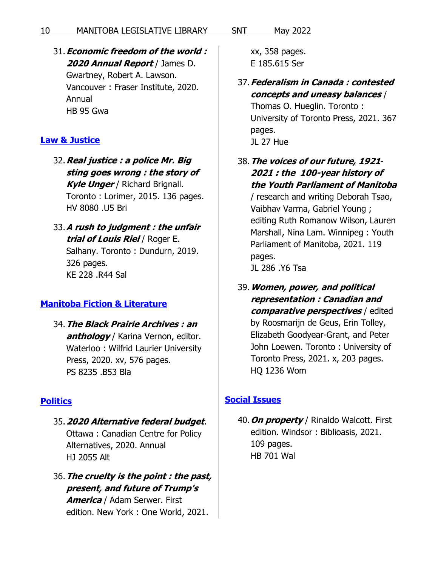### 31.**Economic freedom of the world : 2020 Annual Report** / James D. Gwartney, Robert A. Lawson. Vancouver : Fraser Institute, 2020. Annual HB 95 Gwa

### <span id="page-9-0"></span>**[Law & Justice](https://legislativelibrary.mb.catalogue.libraries.coop/eg/opac/results?_special=1&tag=871&subfield=a&term=SNT+law+justice&locg=1101)**

32.**Real justice : a police Mr. Big sting goes wrong : the story of Kyle Unger** / Richard Brignall. Toronto : Lorimer, 2015. 136 pages. HV 8080 .U5 Bri

33.**A rush to judgment : the unfair trial of Louis Riel** / Roger E. Salhany. Toronto : Dundurn, 2019. 326 pages. KE 228 .R44 Sal

# <span id="page-9-1"></span>**[Manitoba Fiction & Literature](https://legislativelibrary.mb.catalogue.libraries.coop/eg/opac/results?_special=1&tag=871&subfield=a&term=SNT+manitoba+fiction+literature&locg=1101)**

34.**The Black Prairie Archives : an anthology** / Karina Vernon, editor. Waterloo : Wilfrid Laurier University Press, 2020. xv, 576 pages. PS 8235 .B53 Bla

# <span id="page-9-2"></span>**[Politics](https://legislativelibrary.mb.catalogue.libraries.coop/eg/opac/results?_special=1&tag=871&subfield=a&term=SNT+politics&locg=1101)**

- 35.**2020 Alternative federal budget**. Ottawa : Canadian Centre for Policy Alternatives, 2020. Annual HJ 2055 Alt
- 36.**The cruelty is the point : the past, present, and future of Trump's America** / Adam Serwer. First edition. New York : One World, 2021.

xx, 358 pages. E 185.615 Ser

37.**Federalism in Canada : contested concepts and uneasy balances** /

Thomas O. Hueglin. Toronto : University of Toronto Press, 2021. 367 pages. JL 27 Hue

38.**The voices of our future, 1921**- **2021 : the 100-year history of the Youth Parliament of Manitoba**

/ research and writing Deborah Tsao, Vaibhav Varma, Gabriel Young ; editing Ruth Romanow Wilson, Lauren Marshall, Nina Lam. Winnipeg : Youth Parliament of Manitoba, 2021. 119 pages. JL 286 .Y6 Tsa

39.**Women, power, and political representation : Canadian and comparative perspectives** / edited by Roosmarijn de Geus, Erin Tolley, Elizabeth Goodyear-Grant, and Peter John Loewen. Toronto : University of Toronto Press, 2021. x, 203 pages. HQ 1236 Wom

# <span id="page-9-3"></span>**[Social Issues](https://legislativelibrary.mb.catalogue.libraries.coop/eg/opac/results?_special=1&tag=871&subfield=a&term=SNT+social+issues&locg=1101)**

40.**On property** / Rinaldo Walcott. First edition. Windsor : Biblioasis, 2021. 109 pages. HB 701 Wal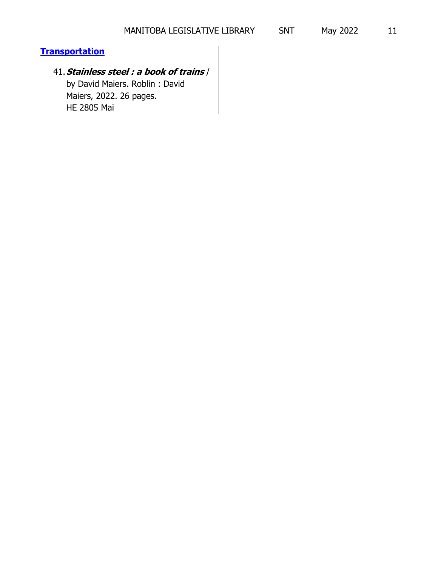### <span id="page-10-0"></span>**[Transportation](https://legislativelibrary.mb.catalogue.libraries.coop/eg/opac/results?_special=1&tag=871&subfield=a&term=SNT+transportation&locg=1101)**

# 41.**Stainless steel : a book of trains** /

by David Maiers. Roblin : David Maiers, 2022. 26 pages. HE 2805 Mai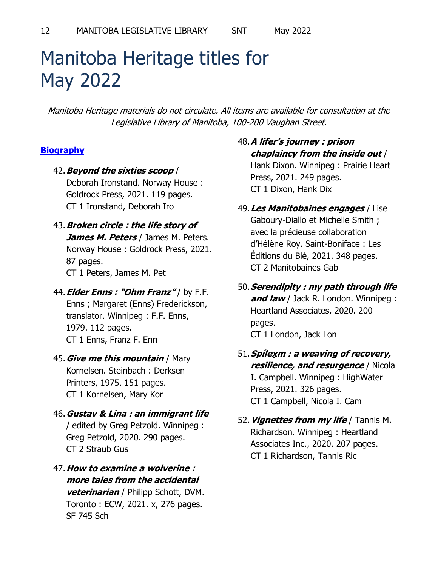# <span id="page-11-0"></span>Manitoba Heritage titles for May 2022

Manitoba Heritage materials do not circulate. All items are available for consultation at the Legislative Library of Manitoba, 100-200 Vaughan Street.

# <span id="page-11-1"></span>**[Biography](https://legislativelibrary.mb.catalogue.libraries.coop/eg/opac/results?_special=1&tag=871&subfield=a&term=SNT+biography&locg=1101)**

- 42.**Beyond the sixties scoop** / Deborah Ironstand. Norway House : Goldrock Press, 2021. 119 pages. CT 1 Ironstand, Deborah Iro
- 43.**Broken circle : the life story of James M. Peters** / James M. Peters. Norway House : Goldrock Press, 2021. 87 pages. CT 1 Peters, James M. Pet
- 44.**Elder Enns : "Ohm Franz"** / by F.F. Enns ; Margaret (Enns) Frederickson, translator. Winnipeg : F.F. Enns, 1979. 112 pages. CT 1 Enns, Franz F. Enn
- 45.**Give me this mountain** / Mary Kornelsen. Steinbach : Derksen Printers, 1975. 151 pages. CT 1 Kornelsen, Mary Kor
- 46.**Gustav & Lina : an immigrant life** / edited by Greg Petzold. Winnipeg : Greg Petzold, 2020. 290 pages. CT 2 Straub Gus
- 47.**How to examine a wolverine : more tales from the accidental veterinarian** / Philipp Schott, DVM. Toronto : ECW, 2021. x, 276 pages. SF 745 Sch

### 48.**A lifer's journey : prison chaplaincy from the inside out** / Hank Dixon. Winnipeg : Prairie Heart Press, 2021. 249 pages. CT 1 Dixon, Hank Dix

- 49.**Les Manitobaines engages** / Lise Gaboury-Diallo et Michelle Smith ; avec la précieuse collaboration d'Hélène Roy. Saint-Boniface : Les Éditions du Blé, 2021. 348 pages. CT 2 Manitobaines Gab
- 50.**Serendipity : my path through life and law** / Jack R. London. Winnipeg : Heartland Associates, 2020. 200 pages. CT 1 London, Jack Lon
- 51.**Spílex̣ m : a weaving of recovery, resilience, and resurgence** / Nicola I. Campbell. Winnipeg : HighWater Press, 2021. 326 pages. CT 1 Campbell, Nicola I. Cam
- 52.**Vignettes from my life** / Tannis M. Richardson. Winnipeg : Heartland Associates Inc., 2020. 207 pages. CT 1 Richardson, Tannis Ric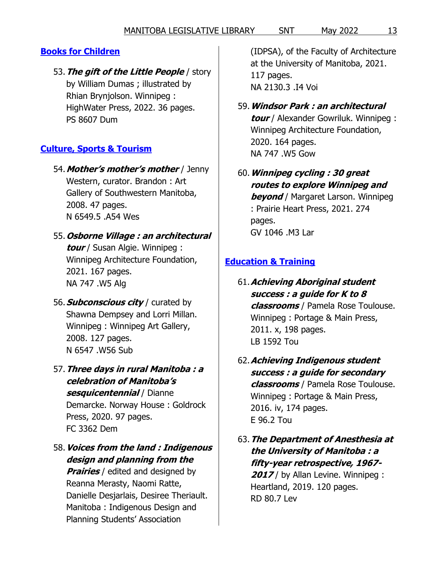# <span id="page-12-0"></span>**[Books for Children](https://legislativelibrary.mb.catalogue.libraries.coop/eg/opac/results?_special=1&tag=871&subfield=a&term=SNT+books+for+children&locg=1101)**

53.**The gift of the Little People** / story by William Dumas ; illustrated by Rhian Brynjolson. Winnipeg : HighWater Press, 2022. 36 pages. PS 8607 Dum

# <span id="page-12-1"></span>**[Culture, Sports & Tourism](https://legislativelibrary.mb.catalogue.libraries.coop/eg/opac/results?_special=1&tag=871&subfield=a&term=SNT+culture+sports+tourism&locg=1101)**

54.**Mother's mother's mother** / Jenny Western, curator. Brandon : Art Gallery of Southwestern Manitoba, 2008. 47 pages. N 6549.5 .A54 Wes

# 55.**Osborne Village : an architectural tour** / Susan Algie. Winnipeg : Winnipeg Architecture Foundation, 2021. 167 pages. NA 747 .W5 Alg

- 56.**Subconscious city** / curated by Shawna Dempsey and Lorri Millan. Winnipeg : Winnipeg Art Gallery, 2008. 127 pages. N 6547 .W56 Sub
- 57.**Three days in rural Manitoba : a celebration of Manitoba's sesquicentennial** / Dianne Demarcke. Norway House : Goldrock Press, 2020. 97 pages. FC 3362 Dem
- 58.**Voices from the land : Indigenous design and planning from the**  *Prairies* / edited and designed by Reanna Merasty, Naomi Ratte, Danielle Desjarlais, Desiree Theriault. Manitoba : Indigenous Design and Planning Students' Association

(IDPSA), of the Faculty of Architecture at the University of Manitoba, 2021. 117 pages. NA 2130.3 .I4 Voi

- 59.**Windsor Park : an architectural tour** / Alexander Gowriluk. Winnipeg : Winnipeg Architecture Foundation, 2020. 164 pages. NA 747 .W5 Gow
- 60.**Winnipeg cycling : 30 great routes to explore Winnipeg and beyond** / Margaret Larson. Winnipeg : Prairie Heart Press, 2021. 274 pages. GV 1046 .M3 Lar

# <span id="page-12-2"></span>**[Education & Training](https://legislativelibrary.mb.catalogue.libraries.coop/eg/opac/results?_special=1&tag=871&subfield=a&term=SNT+education+training&locg=1101)**

- 61.**Achieving Aboriginal student success : a guide for K to 8 classrooms** / Pamela Rose Toulouse. Winnipeg : Portage & Main Press, 2011. x, 198 pages. LB 1592 Tou
- 62.**Achieving Indigenous student success : a guide for secondary classrooms** / Pamela Rose Toulouse. Winnipeg : Portage & Main Press, 2016. iv, 174 pages. E 96.2 Tou
- 63.**The Department of Anesthesia at the University of Manitoba : a fifty-year retrospective, 1967-** 2017/ by Allan Levine. Winnipeg : Heartland, 2019. 120 pages. RD 80.7 Lev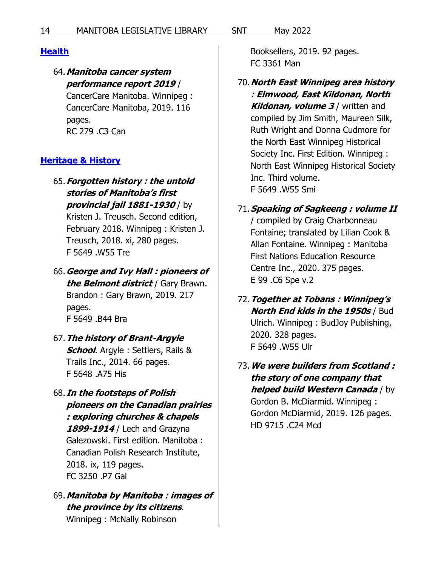### <span id="page-13-0"></span>**[Health](https://legislativelibrary.mb.catalogue.libraries.coop/eg/opac/results?_special=1&tag=871&subfield=a&term=SNT+health&locg=1101)**

### 64.**Manitoba cancer system performance report 2019** /

CancerCare Manitoba. Winnipeg : CancerCare Manitoba, 2019. 116 pages. RC 279 .C3 Can

### <span id="page-13-1"></span>**[Heritage & History](https://legislativelibrary.mb.catalogue.libraries.coop/eg/opac/results?_special=1&tag=871&subfield=a&term=SNT+heritage+history&locg=1101)**

65.**Forgotten history : the untold stories of Manitoba's first provincial jail 1881-1930** / by Kristen J. Treusch. Second edition,

February 2018. Winnipeg : Kristen J. Treusch, 2018. xi, 280 pages. F 5649 .W55 Tre

- 66.**George and Ivy Hall : pioneers of the Belmont district** / Gary Brawn. Brandon : Gary Brawn, 2019. 217 pages. F 5649 .B44 Bra
- 67.**The history of Brant-Argyle School**. Argyle : Settlers, Rails & Trails Inc., 2014. 66 pages. F 5648 .A75 His
- 68.**In the footsteps of Polish pioneers on the Canadian prairies : exploring churches & chapels 1899-1914** / Lech and Grazyna Galezowski. First edition. Manitoba : Canadian Polish Research Institute, 2018. ix, 119 pages. FC 3250 .P7 Gal
- 69.**Manitoba by Manitoba : images of the province by its citizens**. Winnipeg : McNally Robinson

Booksellers, 2019. 92 pages. FC 3361 Man

- 70.**North East Winnipeg area history : Elmwood, East Kildonan, North Kildonan, volume 3** / written and compiled by Jim Smith, Maureen Silk, Ruth Wright and Donna Cudmore for the North East Winnipeg Historical Society Inc. First Edition. Winnipeg : North East Winnipeg Historical Society Inc. Third volume. F 5649 .W55 Smi
- 71.**Speaking of Sagkeeng : volume II** / compiled by Craig Charbonneau Fontaine; translated by Lilian Cook & Allan Fontaine. Winnipeg : Manitoba First Nations Education Resource Centre Inc., 2020. 375 pages. E 99 .C6 Spe v.2
- 72.**Together at Tobans : Winnipeg's North End kids in the 1950s** / Bud Ulrich. Winnipeg : BudJoy Publishing, 2020. 328 pages. F 5649 .W55 Ulr
- 73.**We were builders from Scotland : the story of one company that helped build Western Canada** / by Gordon B. McDiarmid. Winnipeg : Gordon McDiarmid, 2019. 126 pages. HD 9715 .C24 Mcd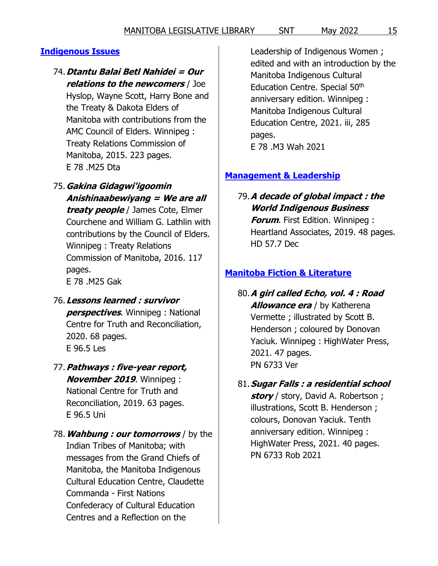### <span id="page-14-0"></span>**[Indigenous Issues](https://legislativelibrary.mb.catalogue.libraries.coop/eg/opac/results?_special=1&tag=871&subfield=a&term=SNT+indigenous+issues&locg=1101)**

#### 74.**Dtantu Balai Betl Nahidei = Our relations to the newcomers** / Joe

Hyslop, Wayne Scott, Harry Bone and the Treaty & Dakota Elders of Manitoba with contributions from the AMC Council of Elders. Winnipeg : Treaty Relations Commission of Manitoba, 2015. 223 pages. E 78 .M25 Dta

- 75.**Gakina Gidagwi'igoomin Anishinaabewiyang = We are all treaty people** / James Cote, Elmer Courchene and William G. Lathlin with contributions by the Council of Elders. Winnipeg : Treaty Relations Commission of Manitoba, 2016. 117 pages. E 78 .M25 Gak
- 76.**Lessons learned : survivor perspectives**. Winnipeg : National Centre for Truth and Reconciliation, 2020. 68 pages. E 96.5 Les
- 77.**Pathways : five-year report, November 2019**. Winnipeg : National Centre for Truth and Reconciliation, 2019. 63 pages. E 96.5 Uni
- 78.**Wahbung : our tomorrows** / by the Indian Tribes of Manitoba; with messages from the Grand Chiefs of Manitoba, the Manitoba Indigenous Cultural Education Centre, Claudette Commanda - First Nations Confederacy of Cultural Education Centres and a Reflection on the

Leadership of Indigenous Women ; edited and with an introduction by the Manitoba Indigenous Cultural Education Centre. Special 50<sup>th</sup> anniversary edition. Winnipeg : Manitoba Indigenous Cultural Education Centre, 2021. iii, 285 pages. E 78 .M3 Wah 2021

### <span id="page-14-1"></span>**[Management & Leadership](https://legislativelibrary.mb.catalogue.libraries.coop/eg/opac/results?_special=1&tag=871&subfield=a&term=SNT+management+leadership&locg=1101)**

79.**A decade of global impact : the World Indigenous Business Forum**. First Edition. Winnipeg :

Heartland Associates, 2019. 48 pages. HD 57.7 Dec

#### <span id="page-14-2"></span>**[Manitoba Fiction & Literature](https://legislativelibrary.mb.catalogue.libraries.coop/eg/opac/results?_special=1&tag=871&subfield=a&term=SNT+manitoba+fiction+literature&locg=1101)**

- 80.**A girl called Echo, vol. 4 : Road Allowance era** / by Katherena Vermette ; illustrated by Scott B. Henderson ; coloured by Donovan Yaciuk. Winnipeg : HighWater Press, 2021. 47 pages. PN 6733 Ver
- 81.**Sugar Falls : a residential school story** / story, David A. Robertson ; illustrations, Scott B. Henderson ; colours, Donovan Yaciuk. Tenth anniversary edition. Winnipeg : HighWater Press, 2021. 40 pages. PN 6733 Rob 2021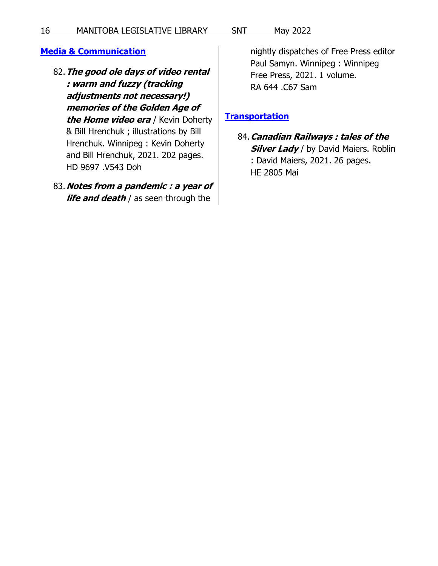### <span id="page-15-0"></span>**[Media & Communication](https://legislativelibrary.mb.catalogue.libraries.coop/eg/opac/results?_special=1&tag=871&subfield=a&term=SNT+media+communication&locg=1101)**

- 82.**The good ole days of video rental : warm and fuzzy (tracking adjustments not necessary!) memories of the Golden Age of the Home video era** / Kevin Doherty & Bill Hrenchuk ; illustrations by Bill Hrenchuk. Winnipeg : Kevin Doherty and Bill Hrenchuk, 2021. 202 pages. HD 9697 .V543 Doh
- 83.**Notes from a pandemic : a year of life and death** / as seen through the

nightly dispatches of Free Press editor Paul Samyn. Winnipeg : Winnipeg Free Press, 2021. 1 volume. RA 644 .C67 Sam

### <span id="page-15-1"></span>**[Transportation](https://legislativelibrary.mb.catalogue.libraries.coop/eg/opac/results?_special=1&tag=871&subfield=a&term=SNT+transportation&locg=1101)**

84.**Canadian Railways : tales of the Silver Lady** / by David Maiers. Roblin : David Maiers, 2021. 26 pages. HE 2805 Mai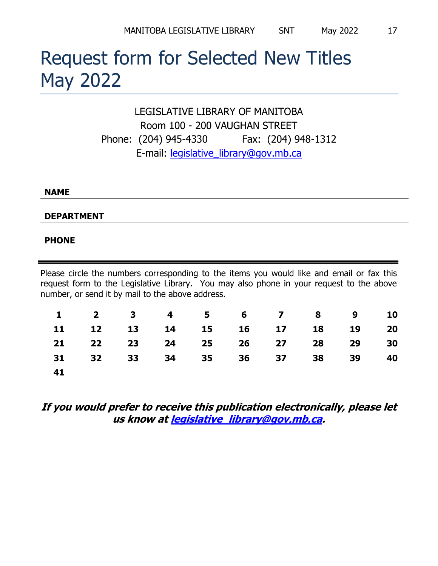# <span id="page-16-0"></span>Request form for Selected New Titles May 2022

LEGISLATIVE LIBRARY OF MANITOBA Room 100 - 200 VAUGHAN STREET Phone: (204) 945-4330 Fax: (204) 948-1312 E-mail: [legislative\\_library@gov.mb.ca](mailto:legislative_library@gov.mb.ca)

#### **NAME**

**DEPARTMENT**

#### **PHONE**

Please circle the numbers corresponding to the items you would like and email or fax this request form to the Legislative Library. You may also phone in your request to the above number, or send it by mail to the above address.

|     |  |  |                            |  | 1 2 3 4 5 6 7 8 9 10 |    |
|-----|--|--|----------------------------|--|----------------------|----|
|     |  |  | 11 12 13 14 15 16 17 18 19 |  |                      | 20 |
|     |  |  | 21 22 23 24 25 26 27 28 29 |  |                      | 30 |
|     |  |  | 31 32 33 34 35 36 37 38 39 |  |                      | 40 |
| -41 |  |  |                            |  |                      |    |

# **If you would prefer to receive this publication electronically, please let us know a[t legislative\\_library@gov.mb.ca.](mailto:legislative_library@gov.mb.ca)**